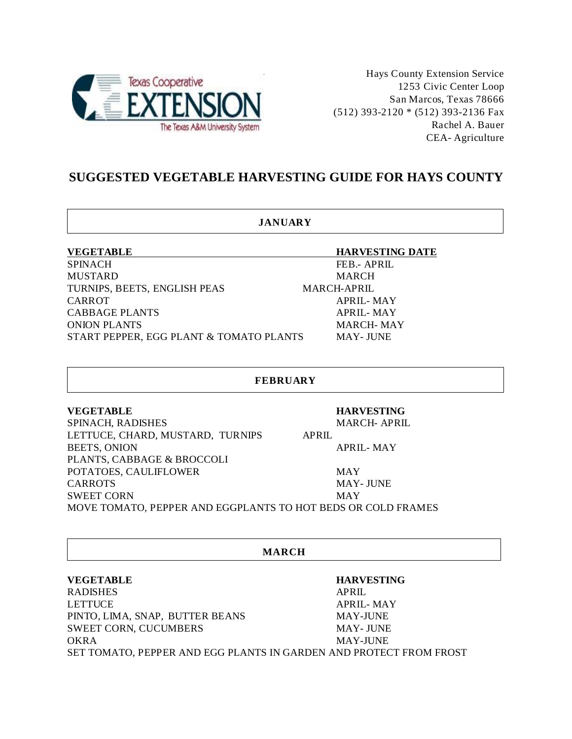

Hays County Extension Service 1253 Civic Center Loop San Marcos, Texas 78666 (512) 393-2120 \* (512) 393-2136 Fax Rachel A. Bauer CEA- Agriculture

# **SUGGESTED VEGETABLE HARVESTING GUIDE FOR HAYS COUNTY**

## **JANUARY**

SPINACH FEB.- APRIL MUSTARD MARCH TURNIPS, BEETS, ENGLISH PEAS MARCH-APRIL CARROT APRIL- MAY CABBAGE PLANTS APRIL- MAY ONION PLANTS MARCH- MAY START PEPPER, EGG PLANT & TOMATO PLANTS MAY- JUNE

## **VEGETABLE HARVESTING DATE**

## **FEBRUARY**

PLANTS, CABBAGE & BROCCOLI

## **VEGETABLE HARVESTING**

SPINACH, RADISHES MARCH- APRIL LETTUCE, CHARD, MUSTARD, TURNIPS APRIL BEETS, ONION APRIL- MAY

POTATOES, CAULIFLOWER MAY CARROTS MAY- JUNE SWEET CORN MAY

MOVE TOMATO, PEPPER AND EGGPLANTS TO HOT BEDS OR COLD FRAMES

## **MARCH**

## **VEGETABLE HARVESTING**

RADISHES APRIL LETTUCE APRIL- MAY PINTO, LIMA, SNAP, BUTTER BEANS MAY-JUNE SWEET CORN, CUCUMBERS MAY- JUNE OKRA MAY-JUNE SET TOMATO, PEPPER AND EGG PLANTS IN GARDEN AND PROTECT FROM FROST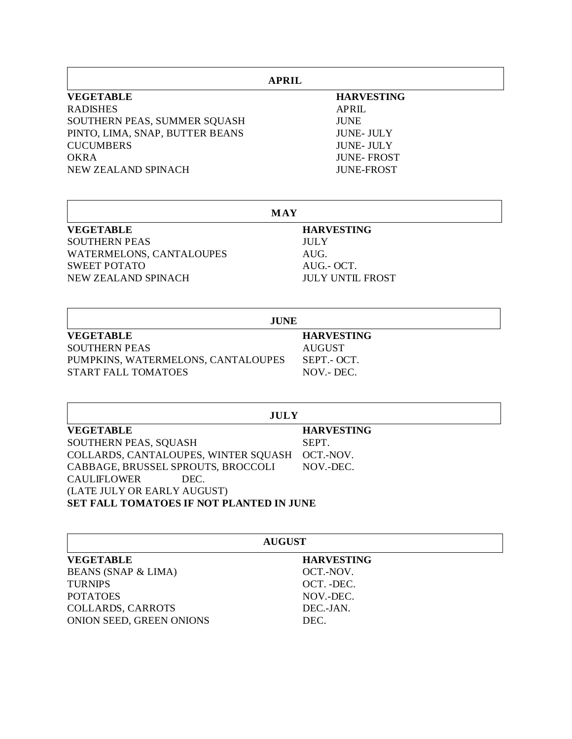| <b>APRIL</b>                    |                   |  |
|---------------------------------|-------------------|--|
| <b>VEGETABLE</b>                | <b>HARVESTING</b> |  |
| <b>RADISHES</b>                 | APRII.            |  |
| SOUTHERN PEAS, SUMMER SQUASH    | <b>JUNE</b>       |  |
| PINTO, LIMA, SNAP, BUTTER BEANS | <b>JUNE-JULY</b>  |  |
| <b>CUCUMBERS</b>                | <b>JUNE-JULY</b>  |  |
| <b>OKRA</b>                     | <b>JUNE-FROST</b> |  |
| NEW ZEALAND SPINACH             | <b>JUNE-FROST</b> |  |

| <b>MAY</b>               |                         |  |
|--------------------------|-------------------------|--|
| <b>VEGETABLE</b>         | <b>HARVESTING</b>       |  |
| <b>SOUTHERN PEAS</b>     | <b>JULY</b>             |  |
| WATERMELONS, CANTALOUPES | AUG.                    |  |
| <b>SWEET POTATO</b>      | AUG.- OCT.              |  |
| NEW ZEALAND SPINACH      | <b>JULY UNTIL FROST</b> |  |
|                          | <b>JUNE</b>             |  |
| <b>VEGETABLE</b>         | <b>HARVESTING</b>       |  |

| VEGETABLE                          | HARVESTII   |
|------------------------------------|-------------|
| <b>SOUTHERN PEAS</b>               | AUGUST      |
| PUMPKINS, WATERMELONS, CANTALOUPES | SEPT.- OCT. |
| START FALL TOMATOES                | NOV.- DEC.  |

 $\mathsf{r}$ 

| <b>JULY</b>                              |                   |  |  |
|------------------------------------------|-------------------|--|--|
| <b>VEGETABLE</b>                         | <b>HARVESTING</b> |  |  |
| SOUTHERN PEAS, SQUASH                    | SEPT.             |  |  |
| COLLARDS, CANTALOUPES, WINTER SQUASH     | OCT.-NOV.         |  |  |
| CABBAGE, BRUSSEL SPROUTS, BROCCOLI       | NOV.-DEC.         |  |  |
| CAULIFLOWER<br>DEC.                      |                   |  |  |
| (LATE JULY OR EARLY AUGUST)              |                   |  |  |
| SET FALL TOMATOES IF NOT PLANTED IN JUNE |                   |  |  |

| <b>AUGUST</b>                  |                   |  |
|--------------------------------|-------------------|--|
| <b>VEGETABLE</b>               | <b>HARVESTING</b> |  |
| <b>BEANS (SNAP &amp; LIMA)</b> | OCT.-NOV.         |  |
| <b>TURNIPS</b>                 | OCT. -DEC.        |  |
| <b>POTATOES</b>                | NOV.-DEC.         |  |
| <b>COLLARDS, CARROTS</b>       | DEC.-JAN.         |  |
| ONION SEED, GREEN ONIONS       | DEC.              |  |